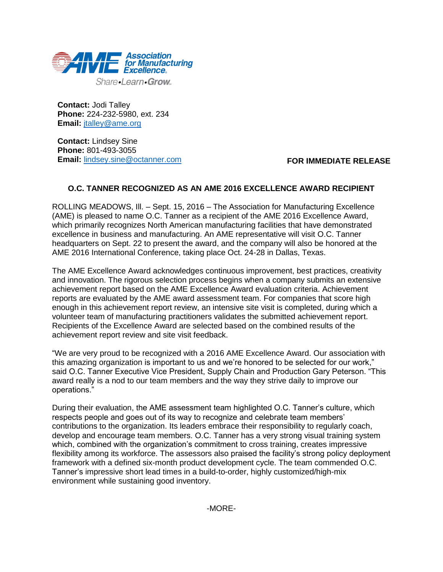

**Contact:** Jodi Talley **Phone:** 224-232-5980, ext. 234 **Email:** [jtalley@ame.org](mailto:jtalley@ame.org)

**Contact:** Lindsey Sine **Phone:** 801-493-3055 **Email:** [lindsey.sine@octanner.com](mailto:lindsey.sine@octanner.com)

## **FOR IMMEDIATE RELEASE**

## **O.C. TANNER RECOGNIZED AS AN AME 2016 EXCELLENCE AWARD RECIPIENT**

ROLLING MEADOWS, Ill. – Sept. 15, 2016 – The Association for Manufacturing Excellence (AME) is pleased to name O.C. Tanner as a recipient of the AME 2016 Excellence Award, which primarily recognizes North American manufacturing facilities that have demonstrated excellence in business and manufacturing. An AME representative will visit O.C. Tanner headquarters on Sept. 22 to present the award, and the company will also be honored at the AME 2016 International Conference, taking place Oct. 24-28 in Dallas, Texas.

The AME Excellence Award acknowledges continuous improvement, best practices, creativity and innovation. The rigorous selection process begins when a company submits an extensive achievement report based on the AME Excellence Award evaluation criteria. Achievement reports are evaluated by the AME award assessment team. For companies that score high enough in this achievement report review, an intensive site visit is completed, during which a volunteer team of manufacturing practitioners validates the submitted achievement report. Recipients of the Excellence Award are selected based on the combined results of the achievement report review and site visit feedback.

"We are very proud to be recognized with a 2016 AME Excellence Award. Our association with this amazing organization is important to us and we're honored to be selected for our work," said O.C. Tanner Executive Vice President, Supply Chain and Production Gary Peterson. "This award really is a nod to our team members and the way they strive daily to improve our operations."

During their evaluation, the AME assessment team highlighted O.C. Tanner's culture, which respects people and goes out of its way to recognize and celebrate team members' contributions to the organization. Its leaders embrace their responsibility to regularly coach, develop and encourage team members. O.C. Tanner has a very strong visual training system which, combined with the organization's commitment to cross training, creates impressive flexibility among its workforce. The assessors also praised the facility's strong policy deployment framework with a defined six-month product development cycle. The team commended O.C. Tanner's impressive short lead times in a build-to-order, highly customized/high-mix environment while sustaining good inventory.